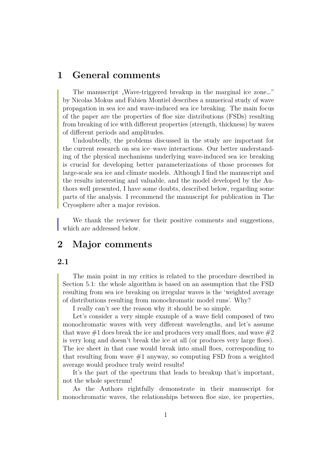## **1 General comments**

The manuscript "Wave-triggered breakup in the marginal ice zone..." by Nicolas Mokus and Fabien Montiel describes a numerical study of wave propagation in sea ice and wave-induced sea ice breaking. The main focus of the paper are the properties of floe size distributions (FSDs) resulting from breaking of ice with different properties (strength, thickness) by waves of different periods and amplitudes.

Undoubtedly, the problems discussed in the study are important for the current research on sea ice–wave interactions. Our better understanding of the physical mechanisms underlying wave-induced sea ice breaking is crucial for developing better parameterizations of those processes for large-scale sea ice and climate models. Although I find the manuscript and the results interesting and valuable, and the model developed by the Authors well presented, I have some doubts, described below, regarding some parts of the analysis. I recommend the manuscript for publication in The Cryosphere after a major revision.

We thank the reviewer for their positive comments and suggestions, which are addressed below.

## **2 Major comments**

#### **2.1**

The main point in my critics is related to the procedure described in Section 5.1: the whole algorithm is based on an assumption that the FSD resulting from sea ice breaking on irregular waves is the 'weighted average of distributions resulting from monochromatic model runs'. Why?

I really can't see the reason why it should be so simple.

Let's consider a very simple example of a wave field composed of two monochromatic waves with very different wavelengths, and let's assume that wave  $\#1$  does break the ice and produces very small floes, and wave  $\#2$ is very long and doesn't break the ice at all (or produces very large floes). The ice sheet in that case would break into small floes, corresponding to that resulting from wave  $#1$  anyway, so computing FSD from a weighted average would produce truly weird results!

It's the part of the spectrum that leads to breakup that's important, not the whole spectrum!

As the Authors rightfully demonstrate in their manuscript for monochromatic waves, the relationships between floe size, ice properties,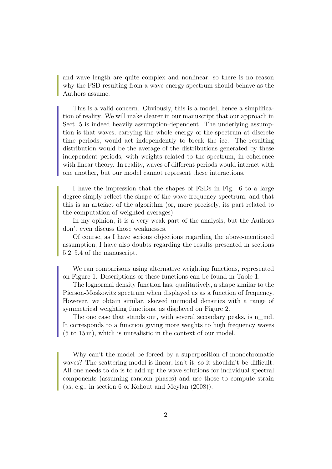and wave length are quite complex and nonlinear, so there is no reason why the FSD resulting from a wave energy spectrum should behave as the Authors assume.

This is a valid concern. Obviously, this is a model, hence a simplification of reality. We will make clearer in our manuscript that our approach in Sect. 5 is indeed heavily assumption-dependent. The underlying assumption is that waves, carrying the whole energy of the spectrum at discrete time periods, would act independently to break the ice. The resulting distribution would be the average of the distributions generated by these independent periods, with weights related to the spectrum, in coherence with linear theory. In reality, waves of different periods would interact with one another, but our model cannot represent these interactions.

I have the impression that the shapes of FSDs in Fig. 6 to a large degree simply reflect the shape of the wave frequency spectrum, and that this is an artefact of the algorithm (or, more precisely, its part related to the computation of weighted averages).

In my opinion, it is a very weak part of the analysis, but the Authors don't even discuss those weaknesses.

Of course, as I have serious objections regarding the above-mentioned assumption, I have also doubts regarding the results presented in sections 5.2–5.4 of the manuscript.

We ran comparisons using alternative weighting functions, represented on Figure 1. Descriptions of these functions can be found in Table 1.

The lognormal density function has, qualitatively, a shape similar to the Pierson-Moskowitz spectrum when displayed as as a function of frequency. However, we obtain similar, skewed unimodal densities with a range of symmetrical weighting functions, as displayed on Figure 2.

The one case that stands out, with several secondary peaks, is n\_md. It corresponds to a function giving more weights to high frequency waves (5 to 15 m), which is unrealistic in the context of our model.

Why can't the model be forced by a superposition of monochromatic waves? The scattering model is linear, isn't it, so it shouldn't be difficult. All one needs to do is to add up the wave solutions for individual spectral components (assuming random phases) and use those to compute strain (as, e.g., in section 6 of Kohout and Meylan (2008)).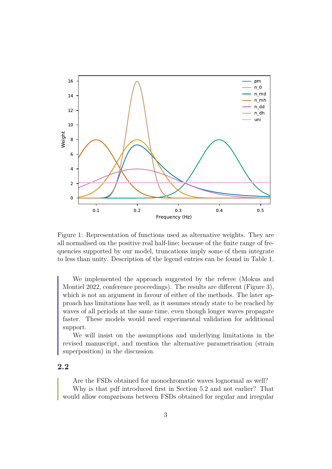

Figure 1: Representation of functions used as alternative weights. They are all normalised on the positive real half-line; because of the finite range of frequencies supported by our model, truncations imply some of them integrate to less than unity. Description of the legend entries can be found in Table 1.

We implemented the approach suggested by the referee (Mokus and Montiel 2022, conference proceedings). The results are different (Figure 3), which is not an argument in favour of either of the methods. The later approach has limitations has well, as it assumes steady state to be reached by waves of all periods at the same time, even though longer waves propagate faster. These models would need experimental validation for additional support.

We will insist on the assumptions and underlying limitations in the revised manuscript, and mention the alternative parametrisation (strain superposition) in the discussion.

#### **2.2**

Are the FSDs obtained for monochromatic waves lognormal as well? Why is that pdf introduced first in Section 5.2 and not earlier? That would allow comparisons between FSDs obtained for regular and irregular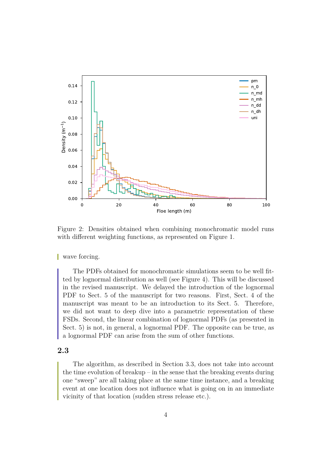

Figure 2: Densities obtained when combining monochromatic model runs with different weighting functions, as represented on Figure 1.

wave forcing.

The PDFs obtained for monochromatic simulations seem to be well fitted by lognormal distribution as well (see Figure 4). This will be discussed in the revised manuscript. We delayed the introduction of the lognormal PDF to Sect. 5 of the manuscript for two reasons. First, Sect. 4 of the manuscript was meant to be an introduction to its Sect. 5. Therefore, we did not want to deep dive into a parametric representation of these FSDs. Second, the linear combination of lognormal PDFs (as presented in Sect. 5) is not, in general, a lognormal PDF. The opposite can be true, as a lognormal PDF can arise from the sum of other functions.

## **2.3**

The algorithm, as described in Section 3.3, does not take into account the time evolution of breakup – in the sense that the breaking events during one "sweep" are all taking place at the same time instance, and a breaking event at one location does not influence what is going on in an immediate vicinity of that location (sudden stress release etc.).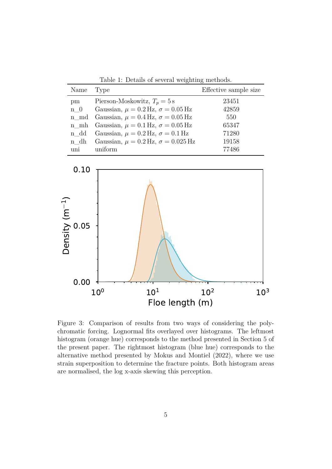| Name        | Type                                              | Effective sample size |
|-------------|---------------------------------------------------|-----------------------|
| pm          | Pierson-Moskowitz, $T_p = 5$ s                    | 23451                 |
| $n \quad 0$ | Gaussian, $\mu = 0.2$ Hz, $\sigma = 0.05$ Hz      | 42859                 |
|             | n_md Gaussian, $\mu = 0.4$ Hz, $\sigma = 0.05$ Hz | 550                   |
|             | n_mh Gaussian, $\mu = 0.1$ Hz, $\sigma = 0.05$ Hz | 65347                 |
| n dd        | Gaussian, $\mu = 0.2$ Hz, $\sigma = 0.1$ Hz       | 71280                 |
| n dh        | Gaussian, $\mu = 0.2$ Hz, $\sigma = 0.025$ Hz     | 19158                 |
| uni         | uniform                                           | 77486                 |

Table 1: Details of several weighting methods.



Figure 3: Comparison of results from two ways of considering the polychromatic forcing. Lognormal fits overlayed over histograms. The leftmost histogram (orange hue) corresponds to the method presented in Section 5 of the present paper. The rightmost histogram (blue hue) corresponds to the alternative method presented by Mokus and Montiel (2022), where we use strain superposition to determine the fracture points. Both histogram areas are normalised, the log x-axis skewing this perception.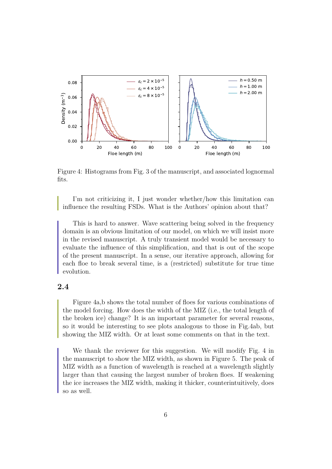

Figure 4: Histograms from Fig. 3 of the manuscript, and associated lognormal fits.

I'm not criticizing it, I just wonder whether/how this limitation can influence the resulting FSDs. What is the Authors' opinion about that?

This is hard to answer. Wave scattering being solved in the frequency domain is an obvious limitation of our model, on which we will insist more in the revised manuscript. A truly transient model would be necessary to evaluate the influence of this simplification, and that is out of the scope of the present manuscript. In a sense, our iterative approach, allowing for each floe to break several time, is a (restricted) substitute for true time evolution.

## **2.4**

Figure 4a,b shows the total number of floes for various combinations of the model forcing. How does the width of the MIZ (i.e., the total length of the broken ice) change? It is an important parameter for several reasons, so it would be interesting to see plots analogous to those in Fig.4ab, but showing the MIZ width. Or at least some comments on that in the text.

We thank the reviewer for this suggestion. We will modify Fig. 4 in the manuscript to show the MIZ width, as shown in Figure 5. The peak of MIZ width as a function of wavelength is reached at a wavelength slightly larger than that causing the largest number of broken floes. If weakening the ice increases the MIZ width, making it thicker, counterintuitively, does so as well.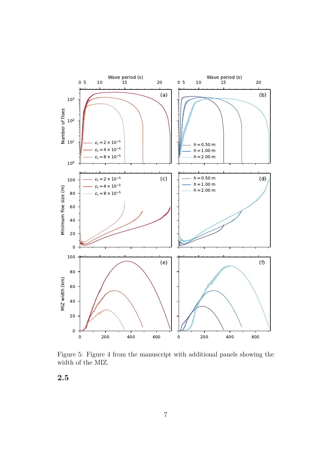

Figure 5: Figure 4 from the manuscript with additional panels showing the width of the MIZ.

**2.5**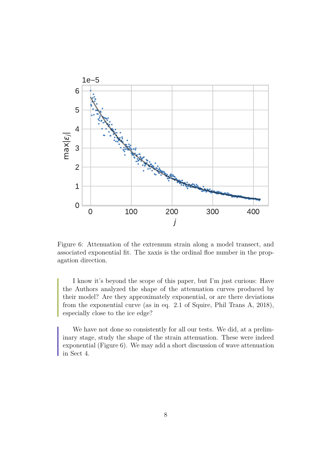

Figure 6: Attenuation of the extremum strain along a model transect, and associated exponential fit. The xaxis is the ordinal floe number in the propagation direction.

I know it's beyond the scope of this paper, but I'm just curious: Have the Authors analyzed the shape of the attenuation curves produced by their model? Are they approximately exponential, or are there deviations from the exponential curve (as in eq. 2.1 of Squire, Phil Trans A, 2018), especially close to the ice edge?

We have not done so consistently for all our tests. We did, at a preliminary stage, study the shape of the strain attenuation. These were indeed exponential (Figure 6). We may add a short discussion of wave attenuation in Sect 4.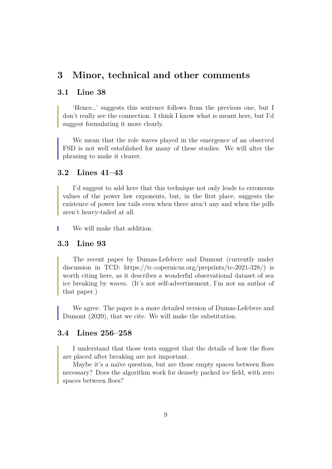## **3 Minor, technical and other comments**

#### **3.1 Line 38**

'Hence…' suggests this sentence follows from the previous one, but I don't really see the connection. I think I know what is meant here, but I'd suggest formulating it more clearly.

We mean that the role waves played in the emergence of an observed FSD is not well established for many of these studies. We will alter the phrasing to make it clearer.

#### **3.2 Lines 41–43**

I'd suggest to add here that this technique not only leads to erroneous values of the power law exponents, but, in the first place, suggests the existence of power law tails even when there aren't any and when the pdfs aren't heavy-tailed at all.

We will make that addition.

### **3.3 Line 93**

The recent paper by Dumas-Lefebvre and Dumont (currently under discussion in TCD: https://tc.copernicus.org/preprints/tc-2021-328/) is worth citing here, as it describes a wonderful observational dataset of sea ice breaking by waves. (It's not self-advertisement, I'm not an author of that paper.)

We agree. The paper is a more detailed version of Dumas-Lefebvre and Dumont (2020), that we cite. We will make the substitution.

#### **3.4 Lines 256–258**

I understand that those tests suggest that the details of how the floes are placed after breaking are not important.

Maybe it's a naïve question, but are those empty spaces between floes necessary? Does the algorithm work for densely packed ice field, with zero spaces between floes?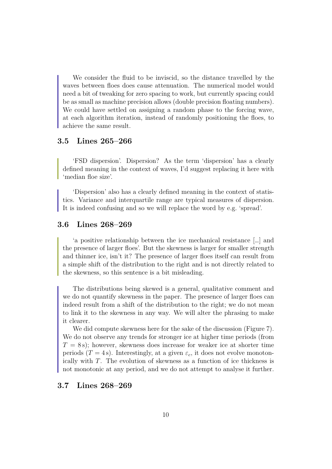We consider the fluid to be inviscid, so the distance travelled by the waves between floes does cause attenuation. The numerical model would need a bit of tweaking for zero spacing to work, but currently spacing could be as small as machine precision allows (double precision floating numbers). We could have settled on assigning a random phase to the forcing wave, at each algorithm iteration, instead of randomly positioning the floes, to achieve the same result.

#### **3.5 Lines 265–266**

'FSD dispersion'. Dispersion? As the term 'dispersion' has a clearly defined meaning in the context of waves, I'd suggest replacing it here with 'median floe size'.

'Dispersion' also has a clearly defined meaning in the context of statistics. Variance and interquartile range are typical measures of dispersion. It is indeed confusing and so we will replace the word by e.g. 'spread'.

#### **3.6 Lines 268–269**

'a positive relationship between the ice mechanical resistance […] and the presence of larger floes'. But the skewness is larger for smaller strength and thinner ice, isn't it? The presence of larger floes itself can result from a simple shift of the distribution to the right and is not directly related to the skewness, so this sentence is a bit misleading.

The distributions being skewed is a general, qualitative comment and we do not quantify skewness in the paper. The presence of larger floes can indeed result from a shift of the distribution to the right; we do not mean to link it to the skewness in any way. We will alter the phrasing to make it clearer.

We did compute skewness here for the sake of the discussion (Figure 7). We do not observe any trends for stronger ice at higher time periods (from  $T = 8$  s); however, skewness does increase for weaker ice at shorter time periods (T = 4s). Interestingly, at a given  $\varepsilon_c$ , it does not evolve monotonically with T. The evolution of skewness as a function of ice thickness is not monotonic at any period, and we do not attempt to analyse it further.

#### **3.7 Lines 268–269**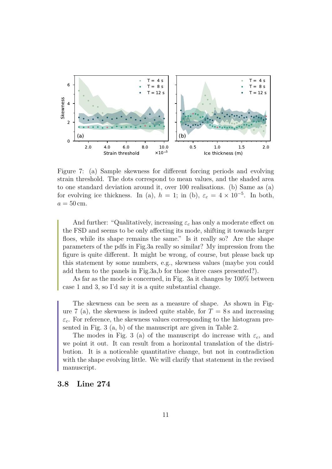

Figure 7: (a) Sample skewness for different forcing periods and evolving strain threshold. The dots correspond to mean values, and the shaded area to one standard deviation around it, over 100 realisations. (b) Same as (a) for evolving ice thickness. In (a),  $h = 1$ ; in (b),  $\varepsilon_c = 4 \times 10^{-5}$ . In both,  $a = 50$  cm.

And further: "Qualitatively, increasing  $\varepsilon_c$  has only a moderate effect on the FSD and seems to be only affecting its mode, shifting it towards larger floes, while its shape remains the same." Is it really so? Are the shape parameters of the pdfs in Fig.3a really so similar? My impression from the figure is quite different. It might be wrong, of course, but please back up this statement by some numbers, e.g., skewness values (maybe you could add them to the panels in Fig.3a,b for those three cases presented?).

As far as the mode is concerned, in Fig. 3a it changes by 1̃00% between case 1 and 3, so I'd say it is a quite substantial change.

The skewness can be seen as a measure of shape. As shown in Figure 7 (a), the skewness is indeed quite stable, for  $T = 8$  s and increasing  $\varepsilon_c$ . For reference, the skewness values corresponding to the histogram presented in Fig. 3 (a, b) of the manuscript are given in Table 2.

The modes in Fig. 3 (a) of the manuscript do increase with  $\varepsilon_c$ , and we point it out. It can result from a horizontal translation of the distribution. It is a noticeable quantitative change, but not in contradiction with the shape evolving little. We will clarify that statement in the revised manuscript.

#### **3.8 Line 274**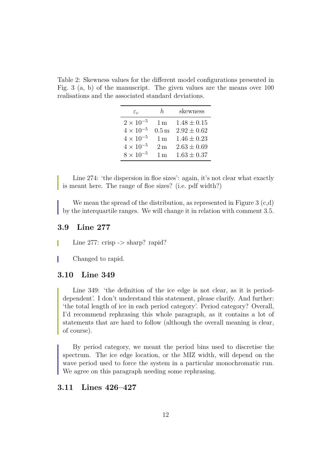Table 2: Skewness values for the different model configurations presented in Fig. 3 (a, b) of the manuscript. The given values are the means over 100 realisations and the associated standard deviations.

| $\varepsilon_{c}$  | h.                | skewness        |
|--------------------|-------------------|-----------------|
| $2 \times 10^{-5}$ | 1 <sub>m</sub>    | $1.48 \pm 0.15$ |
| $4 \times 10^{-5}$ | $0.5\,\mathrm{m}$ | $2.92 \pm 0.62$ |
| $4 \times 10^{-5}$ | 1 <sub>m</sub>    | $1.46 \pm 0.23$ |
| $4 \times 10^{-5}$ | 2 <sub>m</sub>    | $2.63 \pm 0.69$ |
| $8 \times 10^{-5}$ | 1 <sub>m</sub>    | $1.63 \pm 0.37$ |

Line 274: 'the dispersion in floe sizes': again, it's not clear what exactly is meant here. The range of floe sizes? (i.e. pdf width?)

We mean the spread of the distribution, as represented in Figure  $3(c,d)$ by the interquartile ranges. We will change it in relation with comment 3.5.

#### **3.9 Line 277**

- Line 277: crisp  $\rightarrow$  sharp? rapid? I.
- Changed to rapid.

#### **3.10 Line 349**

Line 349: 'the definition of the ice edge is not clear, as it is perioddependent'. I don't understand this statement, please clarify. And further: 'the total length of ice in each period category'. Period category? Overall, I'd recommend rephrasing this whole paragraph, as it contains a lot of statements that are hard to follow (although the overall meaning is clear, of course).

By period category, we meant the period bins used to discretise the spectrum. The ice edge location, or the MIZ width, will depend on the wave period used to force the system in a particular monochromatic run. We agree on this paragraph needing some rephrasing.

### **3.11 Lines 426–427**